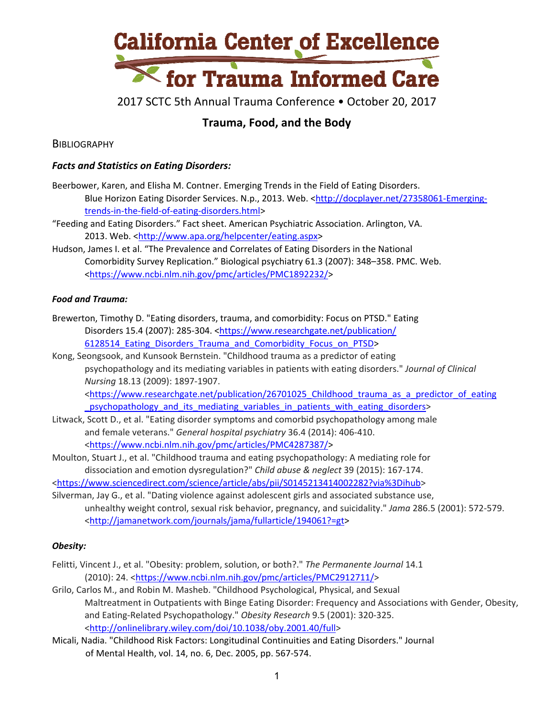

2017 SCTC 5th Annual Trauma Conference • October 20, 2017

# **Trauma, Food, and the Body**

**BIBLIOGRAPHY** 

## *Facts and Statistics on Eating Disorders:*

Beerbower, Karen, and Elisha M. Contner. Emerging Trends in the Field of Eating Disorders. Blue Horizon Eating Disorder Services. N.p., 2013. Web. [<http://docplayer.net/27358061](http://docplayer.net/27358061-Emerging-trends-in-the-field-of-eating-disorders.html)-Emergingtrends‐in‐the‐field‐of‐eating‐[disorders.html>](http://docplayer.net/27358061-Emerging-trends-in-the-field-of-eating-disorders.html)

"Feeding and Eating Disorders." Fact sheet. American Psychiatric Association. Arlington, VA. 2013. Web. <http://www.apa.org/helpcenter/eating.aspx>

Hudson, James I. et al. "The Prevalence and Correlates of Eating Disorders in the National Comorbidity Survey Replication." Biological psychiatry 61.3 (2007): 348–358. PMC. Web. <https://www.ncbi.nlm.nih.gov/pmc/articles/PMC1892232/>

### *Food and Trauma:*

Brewerton, Timothy D. "Eating disorders, trauma, and comorbidity: Focus on PTSD." Eating Disorders 15.4 (2007): 285‐304. <https://www.researchgate.net/publication/ 6128514 Eating Disorders Trauma and Comorbidity Focus on PTSD>

Kong, Seongsook, and Kunsook Bernstein. "Childhood trauma as a predictor of eating psychopathology and its mediating variables in patients with eating disorders." *Journal of Clinical Nursing* 18.13 (2009): 1897‐1907.

<https://www.researchgate.net/publication/26701025\_Childhood\_trauma\_as\_a\_predictor\_of\_eating \_psychopathology\_and\_its\_mediating\_variables\_in\_patients\_with\_eating\_disorders>

- Litwack, Scott D., et al. "Eating disorder symptoms and comorbid psychopathology among male and female veterans." *General hospital psychiatry* 36.4 (2014): 406‐410. <https://www.ncbi.nlm.nih.gov/pmc/articles/PMC4287387/>
- Moulton, Stuart J., et al. "Childhood trauma and eating psychopathology: A mediating role for dissociation and emotion dysregulation?" *Child abuse & neglect* 39 (2015): 167‐174.

<https://www.sciencedirect.com/science/article/abs/pii/S0145213414002282?via%3Dihub>

Silverman, Jay G., et al. "Dating violence against adolescent girls and associated substance use, unhealthy weight control, sexual risk behavior, pregnancy, and suicidality." *Jama* 286.5 (2001): 572‐579. <http://jamanetwork.com/journals/jama/fullarticle/194061?=gt>

### *Obesity:*

- Felitti, Vincent J., et al. "Obesity: problem, solution, or both?." *The Permanente Journal* 14.1 (2010): 24. <https://www.ncbi.nlm.nih.gov/pmc/articles/PMC2912711/>
- Grilo, Carlos M., and Robin M. Masheb. "Childhood Psychological, Physical, and Sexual Maltreatment in Outpatients with Binge Eating Disorder: Frequency and Associations with Gender, Obesity, and Eating‐Related Psychopathology." *Obesity Research* 9.5 (2001): 320‐325. <http://onlinelibrary.wiley.com/doi/10.1038/oby.2001.40/full>
- Micali, Nadia. "Childhood Risk Factors: Longitudinal Continuities and Eating Disorders." Journal of Mental Health, vol. 14, no. 6, Dec. 2005, pp. 567‐574.